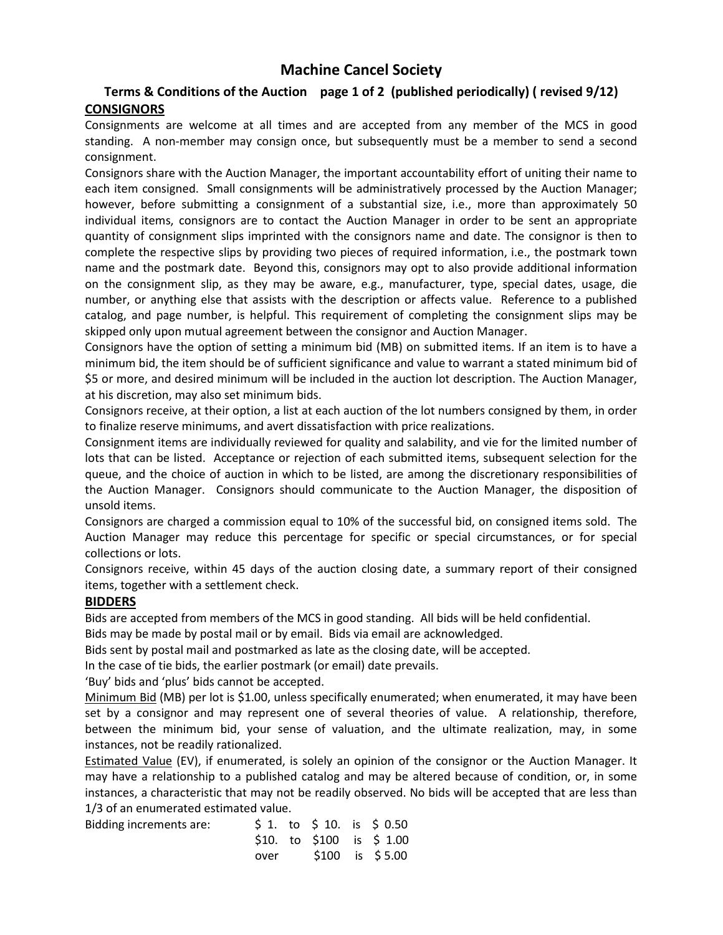# **Machine Cancel Society**

## **Terms & Conditions of the Auction page 1 of 2 (published periodically) ( revised 9/12) CONSIGNORS**

Consignments are welcome at all times and are accepted from any member of the MCS in good standing. A non-member may consign once, but subsequently must be a member to send a second consignment.

Consignors share with the Auction Manager, the important accountability effort of uniting their name to each item consigned. Small consignments will be administratively processed by the Auction Manager; however, before submitting a consignment of a substantial size, i.e., more than approximately 50 individual items, consignors are to contact the Auction Manager in order to be sent an appropriate quantity of consignment slips imprinted with the consignors name and date. The consignor is then to complete the respective slips by providing two pieces of required information, i.e., the postmark town name and the postmark date. Beyond this, consignors may opt to also provide additional information on the consignment slip, as they may be aware, e.g., manufacturer, type, special dates, usage, die number, or anything else that assists with the description or affects value. Reference to a published catalog, and page number, is helpful. This requirement of completing the consignment slips may be skipped only upon mutual agreement between the consignor and Auction Manager.

Consignors have the option of setting a minimum bid (MB) on submitted items. If an item is to have a minimum bid, the item should be of sufficient significance and value to warrant a stated minimum bid of \$5 or more, and desired minimum will be included in the auction lot description. The Auction Manager, at his discretion, may also set minimum bids.

Consignors receive, at their option, a list at each auction of the lot numbers consigned by them, in order to finalize reserve minimums, and avert dissatisfaction with price realizations.

Consignment items are individually reviewed for quality and salability, and vie for the limited number of lots that can be listed. Acceptance or rejection of each submitted items, subsequent selection for the queue, and the choice of auction in which to be listed, are among the discretionary responsibilities of the Auction Manager. Consignors should communicate to the Auction Manager, the disposition of unsold items.

Consignors are charged a commission equal to 10% of the successful bid, on consigned items sold. The Auction Manager may reduce this percentage for specific or special circumstances, or for special collections or lots.

Consignors receive, within 45 days of the auction closing date, a summary report of their consigned items, together with a settlement check.

#### **BIDDERS**

Bids are accepted from members of the MCS in good standing. All bids will be held confidential.

Bids may be made by postal mail or by email. Bids via email are acknowledged.

Bids sent by postal mail and postmarked as late as the closing date, will be accepted.

In the case of tie bids, the earlier postmark (or email) date prevails.

'Buy' bids and 'plus' bids cannot be accepted.

Minimum Bid (MB) per lot is \$1.00, unless specifically enumerated; when enumerated, it may have been set by a consignor and may represent one of several theories of value. A relationship, therefore, between the minimum bid, your sense of valuation, and the ultimate realization, may, in some instances, not be readily rationalized.

Estimated Value (EV), if enumerated, is solely an opinion of the consignor or the Auction Manager. It may have a relationship to a published catalog and may be altered because of condition, or, in some instances, a characteristic that may not be readily observed. No bids will be accepted that are less than 1/3 of an enumerated estimated value.

| Bidding increments are: |      |  | $$1.$ to $$10.$ is $$0.50$  |
|-------------------------|------|--|-----------------------------|
|                         |      |  | $$10.$ to $$100$ is $$1.00$ |
|                         | over |  | \$100 is \$5.00             |